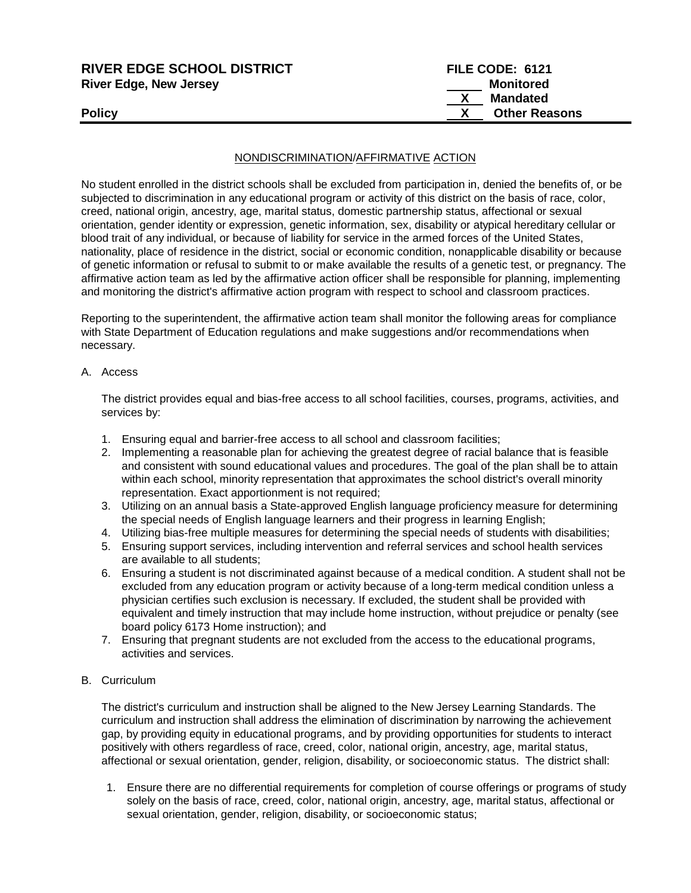| <b>RIVER EDGE SCHOOL DISTRICT</b><br><b>River Edge, New Jersey</b> | FILE CODE: 6121<br>Monitored |
|--------------------------------------------------------------------|------------------------------|
|                                                                    | <b>Mandated</b>              |
| <b>Policy</b>                                                      | <b>Other Reasons</b>         |

## NONDISCRIMINATION/AFFIRMATIVE ACTION

No student enrolled in the district schools shall be excluded from participation in, denied the benefits of, or be subjected to discrimination in any educational program or activity of this district on the basis of race, color, creed, national origin, ancestry, age, marital status, domestic partnership status, affectional or sexual orientation, gender identity or expression, genetic information, sex, disability or atypical hereditary cellular or blood trait of any individual, or because of liability for service in the armed forces of the United States, nationality, place of residence in the district, social or economic condition, nonapplicable disability or because of genetic information or refusal to submit to or make available the results of a genetic test, or pregnancy. The affirmative action team as led by the affirmative action officer shall be responsible for planning, implementing and monitoring the district's affirmative action program with respect to school and classroom practices.

Reporting to the superintendent, the affirmative action team shall monitor the following areas for compliance with State Department of Education regulations and make suggestions and/or recommendations when necessary.

A. Access

The district provides equal and bias-free access to all school facilities, courses, programs, activities, and services by:

- 1. Ensuring equal and barrier-free access to all school and classroom facilities;
- 2. Implementing a reasonable plan for achieving the greatest degree of racial balance that is feasible and consistent with sound educational values and procedures. The goal of the plan shall be to attain within each school, minority representation that approximates the school district's overall minority representation. Exact apportionment is not required;
- 3. Utilizing on an annual basis a State-approved English language proficiency measure for determining the special needs of English language learners and their progress in learning English;
- 4. Utilizing bias-free multiple measures for determining the special needs of students with disabilities;
- 5. Ensuring support services, including intervention and referral services and school health services are available to all students;
- 6. Ensuring a student is not discriminated against because of a medical condition. A student shall not be excluded from any education program or activity because of a long-term medical condition unless a physician certifies such exclusion is necessary. If excluded, the student shall be provided with equivalent and timely instruction that may include home instruction, without prejudice or penalty (see board policy 6173 Home instruction); and
- 7. Ensuring that pregnant students are not excluded from the access to the educational programs, activities and services.
- B. Curriculum

The district's curriculum and instruction shall be aligned to the New Jersey Learning Standards. The curriculum and instruction shall address the elimination of discrimination by narrowing the achievement gap, by providing equity in educational programs, and by providing opportunities for students to interact positively with others regardless of race, creed, color, national origin, ancestry, age, marital status, affectional or sexual orientation, gender, religion, disability, or socioeconomic status. The district shall:

1. Ensure there are no differential requirements for completion of course offerings or programs of study solely on the basis of race, creed, color, national origin, ancestry, age, marital status, affectional or sexual orientation, gender, religion, disability, or socioeconomic status;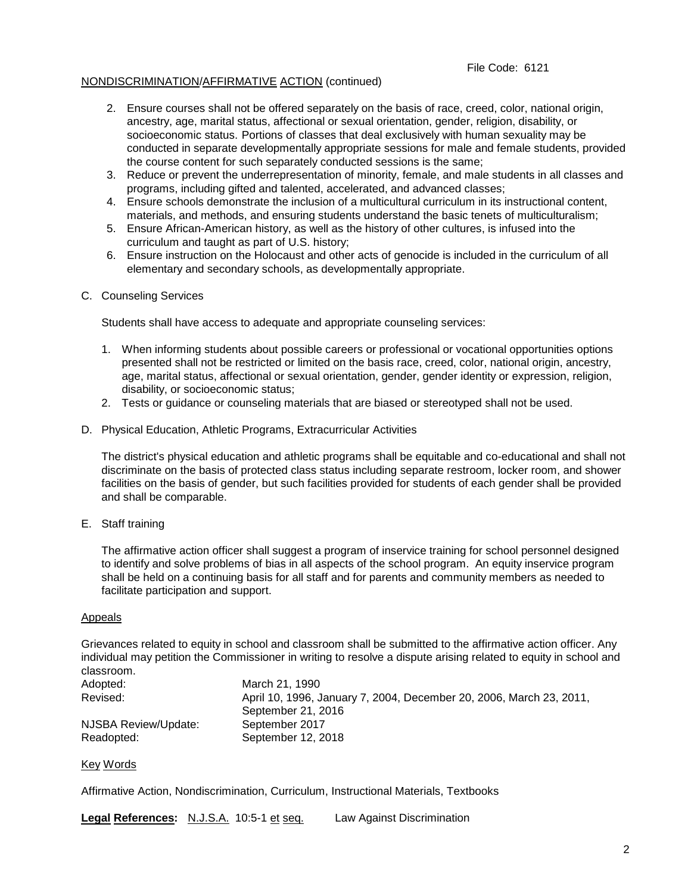## File Code: 6121

## NONDISCRIMINATION/AFFIRMATIVE ACTION (continued)

- 2. Ensure courses shall not be offered separately on the basis of race, creed, color, national origin, ancestry, age, marital status, affectional or sexual orientation, gender, religion, disability, or socioeconomic status. Portions of classes that deal exclusively with human sexuality may be conducted in separate developmentally appropriate sessions for male and female students, provided the course content for such separately conducted sessions is the same;
- 3. Reduce or prevent the underrepresentation of minority, female, and male students in all classes and programs, including gifted and talented, accelerated, and advanced classes;
- 4. Ensure schools demonstrate the inclusion of a multicultural curriculum in its instructional content, materials, and methods, and ensuring students understand the basic tenets of multiculturalism;
- 5. Ensure African-American history, as well as the history of other cultures, is infused into the curriculum and taught as part of U.S. history;
- 6. Ensure instruction on the Holocaust and other acts of genocide is included in the curriculum of all elementary and secondary schools, as developmentally appropriate.

#### C. Counseling Services

Students shall have access to adequate and appropriate counseling services:

- 1. When informing students about possible careers or professional or vocational opportunities options presented shall not be restricted or limited on the basis race, creed, color, national origin, ancestry, age, marital status, affectional or sexual orientation, gender, gender identity or expression, religion, disability, or socioeconomic status;
- 2. Tests or guidance or counseling materials that are biased or stereotyped shall not be used.
- D. Physical Education, Athletic Programs, Extracurricular Activities

The district's physical education and athletic programs shall be equitable and co-educational and shall not discriminate on the basis of protected class status including separate restroom, locker room, and shower facilities on the basis of gender, but such facilities provided for students of each gender shall be provided and shall be comparable.

E. Staff training

The affirmative action officer shall suggest a program of inservice training for school personnel designed to identify and solve problems of bias in all aspects of the school program. An equity inservice program shall be held on a continuing basis for all staff and for parents and community members as needed to facilitate participation and support.

#### Appeals

Grievances related to equity in school and classroom shall be submitted to the affirmative action officer. Any individual may petition the Commissioner in writing to resolve a dispute arising related to equity in school and classroom.

| Adopted:             | March 21, 1990                                                      |
|----------------------|---------------------------------------------------------------------|
| Revised:             | April 10, 1996, January 7, 2004, December 20, 2006, March 23, 2011, |
|                      | September 21, 2016                                                  |
| NJSBA Review/Update: | September 2017                                                      |
| Readopted:           | September 12, 2018                                                  |

Key Words

Affirmative Action, Nondiscrimination, Curriculum, Instructional Materials, Textbooks

**Legal References:** N.J.S.A. 10:5-1 et seq. Law Against Discrimination